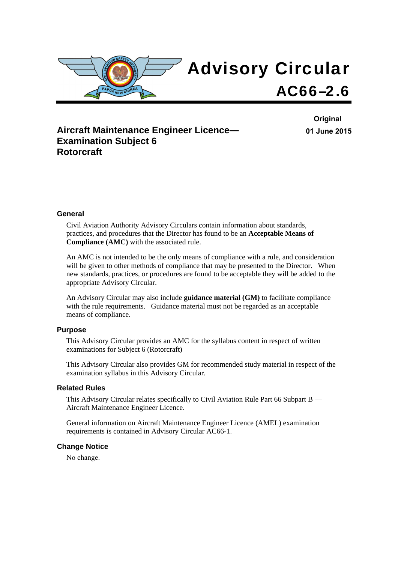

# **Aircraft Maintenance Engineer Licence— Examination Subject 6 Rotorcraft**

**Original 01 June 2015**

#### **General**

Civil Aviation Authority Advisory Circulars contain information about standards, practices, and procedures that the Director has found to be an **Acceptable Means of Compliance (AMC)** with the associated rule.

An AMC is not intended to be the only means of compliance with a rule, and consideration will be given to other methods of compliance that may be presented to the Director. When new standards, practices, or procedures are found to be acceptable they will be added to the appropriate Advisory Circular.

An Advisory Circular may also include **guidance material (GM)** to facilitate compliance with the rule requirements. Guidance material must not be regarded as an acceptable means of compliance.

#### **Purpose**

This Advisory Circular provides an AMC for the syllabus content in respect of written examinations for Subject 6 (Rotorcraft)

This Advisory Circular also provides GM for recommended study material in respect of the examination syllabus in this Advisory Circular.

#### **Related Rules**

This Advisory Circular relates specifically to Civil Aviation Rule Part 66 Subpart B — Aircraft Maintenance Engineer Licence.

General information on Aircraft Maintenance Engineer Licence (AMEL) examination requirements is contained in Advisory Circular AC66-1.

#### **Change Notice**

No change.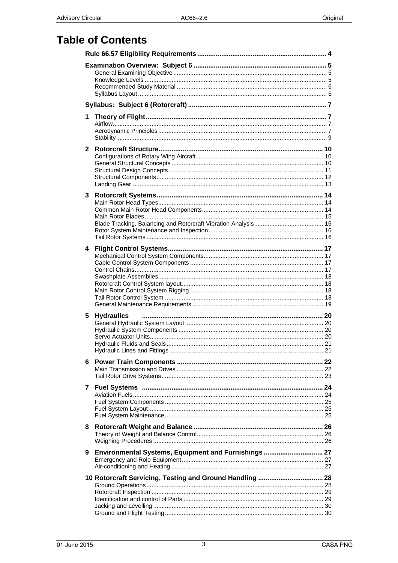# **Table of Contents**

| 1            |                                                          |  |
|--------------|----------------------------------------------------------|--|
| $\mathbf{2}$ |                                                          |  |
| 3            |                                                          |  |
| 4            |                                                          |  |
| 5            | <b>Hydraulics</b>                                        |  |
| 6            |                                                          |  |
| 7            |                                                          |  |
| 8            |                                                          |  |
| 9            | Environmental Systems, Equipment and Furnishings 27      |  |
|              | 10 Rotorcraft Servicing, Testing and Ground Handling  28 |  |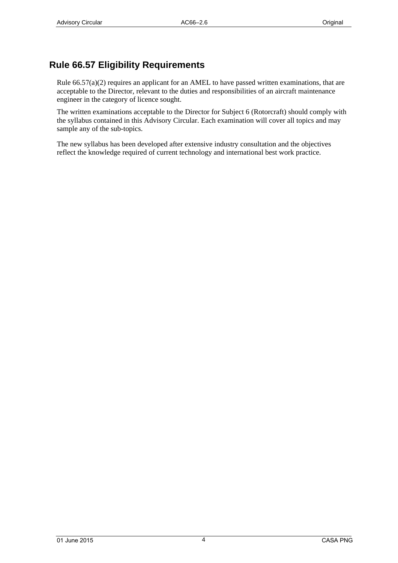# <span id="page-3-0"></span>**Rule 66.57 Eligibility Requirements**

Rule 66.57(a)(2) requires an applicant for an AMEL to have passed written examinations, that are acceptable to the Director, relevant to the duties and responsibilities of an aircraft maintenance engineer in the category of licence sought.

The written examinations acceptable to the Director for Subject 6 (Rotorcraft) should comply with the syllabus contained in this Advisory Circular. Each examination will cover all topics and may sample any of the sub-topics.

The new syllabus has been developed after extensive industry consultation and the objectives reflect the knowledge required of current technology and international best work practice.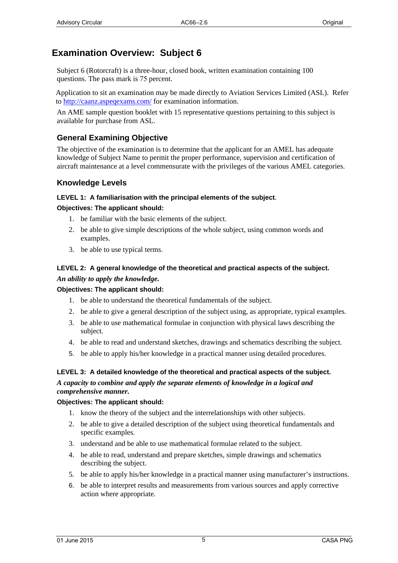# <span id="page-4-0"></span>**Examination Overview: Subject 6**

Subject 6 (Rotorcraft) is a three-hour, closed book, written examination containing 100 questions. The pass mark is 75 percent.

Application to sit an examination may be made directly to Aviation Services Limited (ASL). Refer to [http://caanz.aspeqexa](http://www.aviation.co.nz/)ms.com/ for examination information.

An AME sample question booklet with 15 representative questions pertaining to this subject is available for purchase from ASL.

## **General Examining Objective**

The objective of the examination is to determine that the applicant for an AMEL has adequate knowledge of Subject Name to permit the proper performance, supervision and certification of aircraft maintenance at a level commensurate with the privileges of the various AMEL categories.

## **Knowledge Levels**

#### **LEVEL 1: A familiarisation with the principal elements of the subject***.*

#### **Objectives: The applicant should:**

- 1. be familiar with the basic elements of the subject.
- 2. be able to give simple descriptions of the whole subject, using common words and examples.
- 3. be able to use typical terms.

## **LEVEL 2: A general knowledge of the theoretical and practical aspects of the subject.**  *An ability to apply the knowledge.*

## **Objectives: The applicant should:**

- 1. be able to understand the theoretical fundamentals of the subject.
- 2. be able to give a general description of the subject using, as appropriate, typical examples.
- 3. be able to use mathematical formulae in conjunction with physical laws describing the subject.
- 4. be able to read and understand sketches, drawings and schematics describing the subject.
- 5. be able to apply his/her knowledge in a practical manner using detailed procedures.

#### **LEVEL 3: A detailed knowledge of the theoretical and practical aspects of the subject.**  *A capacity to combine and apply the separate elements of knowledge in a logical and comprehensive manner.*

#### **Objectives: The applicant should:**

- 1. know the theory of the subject and the interrelationships with other subjects.
- 2. be able to give a detailed description of the subject using theoretical fundamentals and specific examples.
- 3. understand and be able to use mathematical formulae related to the subject.
- 4. be able to read, understand and prepare sketches, simple drawings and schematics describing the subject.
- 5. be able to apply his/her knowledge in a practical manner using manufacturer's instructions.
- 6. be able to interpret results and measurements from various sources and apply corrective action where appropriate.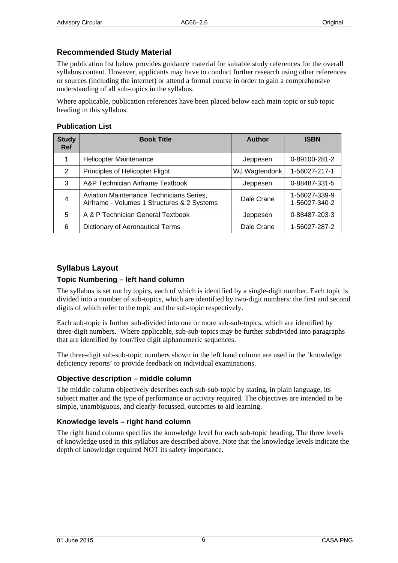## <span id="page-5-0"></span>**Recommended Study Material**

The publication list below provides guidance material for suitable study references for the overall syllabus content. However, applicants may have to conduct further research using other references or sources (including the internet) or attend a formal course in order to gain a comprehensive understanding of all sub-topics in the syllabus.

Where applicable, publication references have been placed below each main topic or sub topic heading in this syllabus.

## **Publication List**

| <b>Study</b><br><b>Ref</b> | <b>Book Title</b>                                                                       | <b>Author</b> | <b>ISBN</b>                    |
|----------------------------|-----------------------------------------------------------------------------------------|---------------|--------------------------------|
|                            | Helicopter Maintenance                                                                  | Jeppesen      | 0-89100-281-2                  |
| $\mathfrak{p}$             | Principles of Helicopter Flight                                                         | WJ Wagtendonk | 1-56027-217-1                  |
| 3                          | A&P Technician Airframe Textbook                                                        | Jeppesen      | 0-88487-331-5                  |
| 4                          | Aviation Maintenance Technicians Series,<br>Airframe - Volumes 1 Structures & 2 Systems | Dale Crane    | 1-56027-339-9<br>1-56027-340-2 |
| 5                          | A & P Technician General Textbook                                                       | Jeppesen      | 0-88487-203-3                  |
| 6                          | <b>Dictionary of Aeronautical Terms</b>                                                 | Dale Crane    | 1-56027-287-2                  |

## **Syllabus Layout**

## **Topic Numbering – left hand column**

The syllabus is set out by topics, each of which is identified by a single-digit number. Each topic is divided into a number of sub-topics, which are identified by two-digit numbers: the first and second digits of which refer to the topic and the sub-topic respectively.

Each sub-topic is further sub-divided into one or more sub-sub-topics, which are identified by three-digit numbers. Where applicable, sub-sub-topics may be further subdivided into paragraphs that are identified by four/five digit alphanumeric sequences.

The three-digit sub-sub-topic numbers shown in the left hand column are used in the 'knowledge deficiency reports' to provide feedback on individual examinations.

## **Objective description – middle column**

The middle column objectively describes each sub-sub-topic by stating, in plain language, its subject matter and the type of performance or activity required. The objectives are intended to be simple, unambiguous, and clearly-focussed, outcomes to aid learning.

## **Knowledge levels – right hand column**

The right hand column specifies the knowledge level for each sub-topic heading. The three levels of knowledge used in this syllabus are described above. Note that the knowledge levels indicate the depth of knowledge required NOT its safety importance.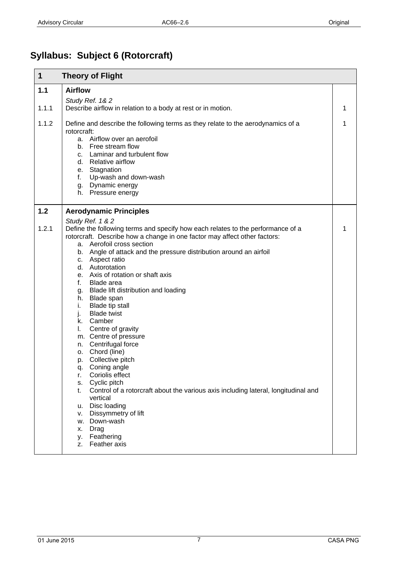# <span id="page-6-0"></span>**Syllabus: Subject 6 (Rotorcraft)**

| 1     | <b>Theory of Flight</b>                                                                                                                                                                                                                                                                                                                                                                                                                                                                            |   |
|-------|----------------------------------------------------------------------------------------------------------------------------------------------------------------------------------------------------------------------------------------------------------------------------------------------------------------------------------------------------------------------------------------------------------------------------------------------------------------------------------------------------|---|
| 1.1   | <b>Airflow</b>                                                                                                                                                                                                                                                                                                                                                                                                                                                                                     |   |
|       | Study Ref. 1& 2                                                                                                                                                                                                                                                                                                                                                                                                                                                                                    |   |
| 1.1.1 | Describe airflow in relation to a body at rest or in motion.                                                                                                                                                                                                                                                                                                                                                                                                                                       | 1 |
| 1.1.2 | Define and describe the following terms as they relate to the aerodynamics of a<br>rotorcraft:<br>a. Airflow over an aerofoil<br>b. Free stream flow<br>c. Laminar and turbulent flow<br>d. Relative airflow<br>e. Stagnation<br>f. Up-wash and down-wash<br>g. Dynamic energy<br>h. Pressure energy                                                                                                                                                                                               | 1 |
| 1.2   | <b>Aerodynamic Principles</b>                                                                                                                                                                                                                                                                                                                                                                                                                                                                      |   |
| 1.2.1 | Study Ref. 1 & 2<br>Define the following terms and specify how each relates to the performance of a<br>rotorcraft. Describe how a change in one factor may affect other factors:<br>a. Aerofoil cross section<br>b. Angle of attack and the pressure distribution around an airfoil<br>c. Aspect ratio<br>d. Autorotation<br>e. Axis of rotation or shaft axis<br>f.<br>Blade area<br>g. Blade lift distribution and loading<br>h. Blade span<br>Blade tip stall<br>i.<br>j.<br><b>Blade twist</b> | 1 |
|       | k. Camber<br>Centre of gravity<br>L.<br>m. Centre of pressure<br>n. Centrifugal force<br>o. Chord (line)<br>p. Collective pitch<br>q. Coning angle<br>Coriolis effect<br>r.<br>Cyclic pitch<br>S.<br>Control of a rotorcraft about the various axis including lateral, longitudinal and<br>t.<br>vertical<br>Disc loading<br>u.<br>Dissymmetry of lift<br>v.<br>Down-wash<br>w.<br>Drag<br>х.<br>Feathering<br>у.<br>Feather axis<br>z.                                                            |   |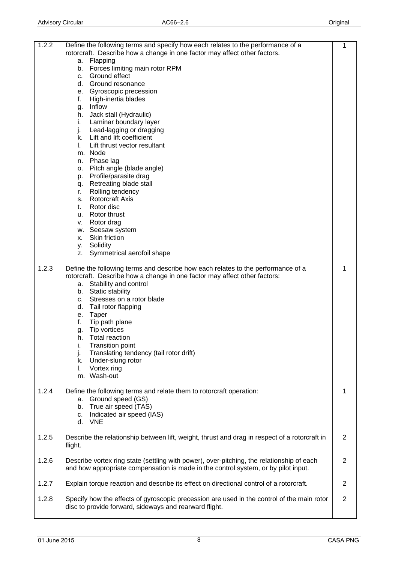| 1.2.2 | Define the following terms and specify how each relates to the performance of a                                                                                                                                                                                                                                                                                                                                                                                                                                | 1              |
|-------|----------------------------------------------------------------------------------------------------------------------------------------------------------------------------------------------------------------------------------------------------------------------------------------------------------------------------------------------------------------------------------------------------------------------------------------------------------------------------------------------------------------|----------------|
|       | rotorcraft. Describe how a change in one factor may affect other factors.                                                                                                                                                                                                                                                                                                                                                                                                                                      |                |
|       | a. Flapping<br>Forces limiting main rotor RPM<br>b.                                                                                                                                                                                                                                                                                                                                                                                                                                                            |                |
|       | c. Ground effect                                                                                                                                                                                                                                                                                                                                                                                                                                                                                               |                |
|       | d. Ground resonance                                                                                                                                                                                                                                                                                                                                                                                                                                                                                            |                |
|       | e. Gyroscopic precession                                                                                                                                                                                                                                                                                                                                                                                                                                                                                       |                |
|       | High-inertia blades<br>f.                                                                                                                                                                                                                                                                                                                                                                                                                                                                                      |                |
|       | g. Inflow                                                                                                                                                                                                                                                                                                                                                                                                                                                                                                      |                |
|       | h. Jack stall (Hydraulic)                                                                                                                                                                                                                                                                                                                                                                                                                                                                                      |                |
|       | Laminar boundary layer<br>i.                                                                                                                                                                                                                                                                                                                                                                                                                                                                                   |                |
|       | j.<br>Lead-lagging or dragging                                                                                                                                                                                                                                                                                                                                                                                                                                                                                 |                |
|       | k. Lift and lift coefficient                                                                                                                                                                                                                                                                                                                                                                                                                                                                                   |                |
|       | Lift thrust vector resultant<br>L.                                                                                                                                                                                                                                                                                                                                                                                                                                                                             |                |
|       | m. Node<br>n. Phase lag                                                                                                                                                                                                                                                                                                                                                                                                                                                                                        |                |
|       | o. Pitch angle (blade angle)                                                                                                                                                                                                                                                                                                                                                                                                                                                                                   |                |
|       | p. Profile/parasite drag                                                                                                                                                                                                                                                                                                                                                                                                                                                                                       |                |
|       | q. Retreating blade stall                                                                                                                                                                                                                                                                                                                                                                                                                                                                                      |                |
|       | Rolling tendency<br>r.                                                                                                                                                                                                                                                                                                                                                                                                                                                                                         |                |
|       | s. Rotorcraft Axis                                                                                                                                                                                                                                                                                                                                                                                                                                                                                             |                |
|       | Rotor disc<br>t.                                                                                                                                                                                                                                                                                                                                                                                                                                                                                               |                |
|       | u. Rotor thrust                                                                                                                                                                                                                                                                                                                                                                                                                                                                                                |                |
|       | v. Rotor drag                                                                                                                                                                                                                                                                                                                                                                                                                                                                                                  |                |
|       | w. Seesaw system                                                                                                                                                                                                                                                                                                                                                                                                                                                                                               |                |
|       | Skin friction<br>Х.                                                                                                                                                                                                                                                                                                                                                                                                                                                                                            |                |
|       | y. Solidity<br>Symmetrical aerofoil shape<br>Z.                                                                                                                                                                                                                                                                                                                                                                                                                                                                |                |
| 1.2.3 | Define the following terms and describe how each relates to the performance of a<br>rotorcraft. Describe how a change in one factor may affect other factors:<br>a. Stability and control<br>b. Static stability<br>Stresses on a rotor blade<br>c.<br>Tail rotor flapping<br>d.<br>Taper<br>е.<br>Tip path plane<br>f.<br>Tip vortices<br>g.<br>h.<br><b>Total reaction</b><br>i.<br><b>Transition point</b><br>Translating tendency (tail rotor drift)<br>j.<br>Under-slung rotor<br>k.<br>Vortex ring<br>L. | 1              |
|       | m. Wash-out                                                                                                                                                                                                                                                                                                                                                                                                                                                                                                    |                |
| 1.2.4 | Define the following terms and relate them to rotorcraft operation:<br>a. Ground speed (GS)<br>True air speed (TAS)<br>b.<br>Indicated air speed (IAS)<br>C.<br>d. VNE                                                                                                                                                                                                                                                                                                                                         | 1              |
| 1.2.5 | Describe the relationship between lift, weight, thrust and drag in respect of a rotorcraft in<br>flight.                                                                                                                                                                                                                                                                                                                                                                                                       | $\overline{2}$ |
| 1.2.6 | Describe vortex ring state (settling with power), over-pitching, the relationship of each<br>and how appropriate compensation is made in the control system, or by pilot input.                                                                                                                                                                                                                                                                                                                                | 2              |
| 1.2.7 | Explain torque reaction and describe its effect on directional control of a rotorcraft.                                                                                                                                                                                                                                                                                                                                                                                                                        | $\overline{2}$ |
| 1.2.8 | Specify how the effects of gyroscopic precession are used in the control of the main rotor<br>disc to provide forward, sideways and rearward flight.                                                                                                                                                                                                                                                                                                                                                           | $\overline{2}$ |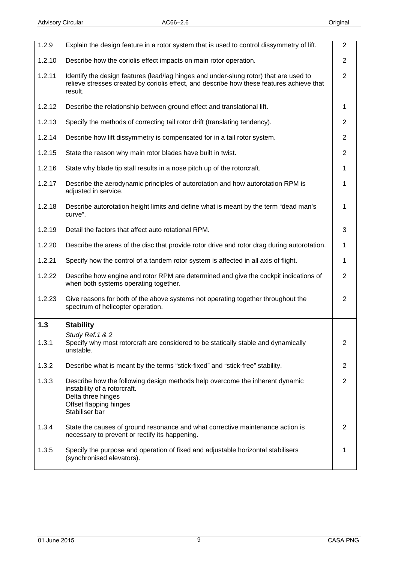<span id="page-8-0"></span>

| 1.2.10<br>$\overline{2}$<br>Describe how the coriolis effect impacts on main rotor operation.<br>1.2.11<br>$\overline{2}$<br>Identify the design features (lead/lag hinges and under-slung rotor) that are used to<br>relieve stresses created by coriolis effect, and describe how these features achieve that<br>result.<br>1.2.12<br>Describe the relationship between ground effect and translational lift.<br>1<br>1.2.13<br>$\overline{2}$<br>Specify the methods of correcting tail rotor drift (translating tendency).<br>1.2.14<br>Describe how lift dissymmetry is compensated for in a tail rotor system.<br>$\overline{2}$<br>$\overline{2}$<br>1.2.15<br>State the reason why main rotor blades have built in twist.<br>1.2.16<br>State why blade tip stall results in a nose pitch up of the rotorcraft.<br>1<br>1.2.17<br>Describe the aerodynamic principles of autorotation and how autorotation RPM is<br>1<br>adjusted in service.<br>1.2.18<br>Describe autorotation height limits and define what is meant by the term "dead man's<br>1<br>curve".<br>1.2.19<br>Detail the factors that affect auto rotational RPM.<br>3<br>1.2.20<br>Describe the areas of the disc that provide rotor drive and rotor drag during autorotation.<br>1<br>1.2.21<br>Specify how the control of a tandem rotor system is affected in all axis of flight.<br>1<br>1.2.22<br>$\overline{2}$<br>Describe how engine and rotor RPM are determined and give the cockpit indications of<br>when both systems operating together.<br>1.2.23<br>Give reasons for both of the above systems not operating together throughout the<br>2<br>spectrum of helicopter operation.<br>1.3<br><b>Stability</b><br>Study Ref. 1 & 2<br>1.3.1<br>Specify why most rotorcraft are considered to be statically stable and dynamically<br>$\overline{2}$<br>unstable.<br>1.3.2<br>Describe what is meant by the terms "stick-fixed" and "stick-free" stability.<br>$\overline{2}$<br>$\overline{2}$<br>1.3.3<br>Describe how the following design methods help overcome the inherent dynamic<br>instability of a rotorcraft.<br>Delta three hinges<br>Offset flapping hinges<br>Stabiliser bar<br>1.3.4<br>State the causes of ground resonance and what corrective maintenance action is<br>2<br>necessary to prevent or rectify its happening.<br>1.3.5<br>Specify the purpose and operation of fixed and adjustable horizontal stabilisers<br>(synchronised elevators). | 1.2.9 | Explain the design feature in a rotor system that is used to control dissymmetry of lift. | $\overline{2}$ |
|----------------------------------------------------------------------------------------------------------------------------------------------------------------------------------------------------------------------------------------------------------------------------------------------------------------------------------------------------------------------------------------------------------------------------------------------------------------------------------------------------------------------------------------------------------------------------------------------------------------------------------------------------------------------------------------------------------------------------------------------------------------------------------------------------------------------------------------------------------------------------------------------------------------------------------------------------------------------------------------------------------------------------------------------------------------------------------------------------------------------------------------------------------------------------------------------------------------------------------------------------------------------------------------------------------------------------------------------------------------------------------------------------------------------------------------------------------------------------------------------------------------------------------------------------------------------------------------------------------------------------------------------------------------------------------------------------------------------------------------------------------------------------------------------------------------------------------------------------------------------------------------------------------------------------------------------------------------------------------------------------------------------------------------------------------------------------------------------------------------------------------------------------------------------------------------------------------------------------------------------------------------------------------------------------------------------------------------------------------------------------------------------------------------------------------------------------------|-------|-------------------------------------------------------------------------------------------|----------------|
|                                                                                                                                                                                                                                                                                                                                                                                                                                                                                                                                                                                                                                                                                                                                                                                                                                                                                                                                                                                                                                                                                                                                                                                                                                                                                                                                                                                                                                                                                                                                                                                                                                                                                                                                                                                                                                                                                                                                                                                                                                                                                                                                                                                                                                                                                                                                                                                                                                                          |       |                                                                                           |                |
|                                                                                                                                                                                                                                                                                                                                                                                                                                                                                                                                                                                                                                                                                                                                                                                                                                                                                                                                                                                                                                                                                                                                                                                                                                                                                                                                                                                                                                                                                                                                                                                                                                                                                                                                                                                                                                                                                                                                                                                                                                                                                                                                                                                                                                                                                                                                                                                                                                                          |       |                                                                                           |                |
|                                                                                                                                                                                                                                                                                                                                                                                                                                                                                                                                                                                                                                                                                                                                                                                                                                                                                                                                                                                                                                                                                                                                                                                                                                                                                                                                                                                                                                                                                                                                                                                                                                                                                                                                                                                                                                                                                                                                                                                                                                                                                                                                                                                                                                                                                                                                                                                                                                                          |       |                                                                                           |                |
|                                                                                                                                                                                                                                                                                                                                                                                                                                                                                                                                                                                                                                                                                                                                                                                                                                                                                                                                                                                                                                                                                                                                                                                                                                                                                                                                                                                                                                                                                                                                                                                                                                                                                                                                                                                                                                                                                                                                                                                                                                                                                                                                                                                                                                                                                                                                                                                                                                                          |       |                                                                                           |                |
|                                                                                                                                                                                                                                                                                                                                                                                                                                                                                                                                                                                                                                                                                                                                                                                                                                                                                                                                                                                                                                                                                                                                                                                                                                                                                                                                                                                                                                                                                                                                                                                                                                                                                                                                                                                                                                                                                                                                                                                                                                                                                                                                                                                                                                                                                                                                                                                                                                                          |       |                                                                                           |                |
|                                                                                                                                                                                                                                                                                                                                                                                                                                                                                                                                                                                                                                                                                                                                                                                                                                                                                                                                                                                                                                                                                                                                                                                                                                                                                                                                                                                                                                                                                                                                                                                                                                                                                                                                                                                                                                                                                                                                                                                                                                                                                                                                                                                                                                                                                                                                                                                                                                                          |       |                                                                                           |                |
|                                                                                                                                                                                                                                                                                                                                                                                                                                                                                                                                                                                                                                                                                                                                                                                                                                                                                                                                                                                                                                                                                                                                                                                                                                                                                                                                                                                                                                                                                                                                                                                                                                                                                                                                                                                                                                                                                                                                                                                                                                                                                                                                                                                                                                                                                                                                                                                                                                                          |       |                                                                                           |                |
|                                                                                                                                                                                                                                                                                                                                                                                                                                                                                                                                                                                                                                                                                                                                                                                                                                                                                                                                                                                                                                                                                                                                                                                                                                                                                                                                                                                                                                                                                                                                                                                                                                                                                                                                                                                                                                                                                                                                                                                                                                                                                                                                                                                                                                                                                                                                                                                                                                                          |       |                                                                                           |                |
|                                                                                                                                                                                                                                                                                                                                                                                                                                                                                                                                                                                                                                                                                                                                                                                                                                                                                                                                                                                                                                                                                                                                                                                                                                                                                                                                                                                                                                                                                                                                                                                                                                                                                                                                                                                                                                                                                                                                                                                                                                                                                                                                                                                                                                                                                                                                                                                                                                                          |       |                                                                                           |                |
|                                                                                                                                                                                                                                                                                                                                                                                                                                                                                                                                                                                                                                                                                                                                                                                                                                                                                                                                                                                                                                                                                                                                                                                                                                                                                                                                                                                                                                                                                                                                                                                                                                                                                                                                                                                                                                                                                                                                                                                                                                                                                                                                                                                                                                                                                                                                                                                                                                                          |       |                                                                                           |                |
|                                                                                                                                                                                                                                                                                                                                                                                                                                                                                                                                                                                                                                                                                                                                                                                                                                                                                                                                                                                                                                                                                                                                                                                                                                                                                                                                                                                                                                                                                                                                                                                                                                                                                                                                                                                                                                                                                                                                                                                                                                                                                                                                                                                                                                                                                                                                                                                                                                                          |       |                                                                                           |                |
|                                                                                                                                                                                                                                                                                                                                                                                                                                                                                                                                                                                                                                                                                                                                                                                                                                                                                                                                                                                                                                                                                                                                                                                                                                                                                                                                                                                                                                                                                                                                                                                                                                                                                                                                                                                                                                                                                                                                                                                                                                                                                                                                                                                                                                                                                                                                                                                                                                                          |       |                                                                                           |                |
|                                                                                                                                                                                                                                                                                                                                                                                                                                                                                                                                                                                                                                                                                                                                                                                                                                                                                                                                                                                                                                                                                                                                                                                                                                                                                                                                                                                                                                                                                                                                                                                                                                                                                                                                                                                                                                                                                                                                                                                                                                                                                                                                                                                                                                                                                                                                                                                                                                                          |       |                                                                                           |                |
|                                                                                                                                                                                                                                                                                                                                                                                                                                                                                                                                                                                                                                                                                                                                                                                                                                                                                                                                                                                                                                                                                                                                                                                                                                                                                                                                                                                                                                                                                                                                                                                                                                                                                                                                                                                                                                                                                                                                                                                                                                                                                                                                                                                                                                                                                                                                                                                                                                                          |       |                                                                                           |                |
|                                                                                                                                                                                                                                                                                                                                                                                                                                                                                                                                                                                                                                                                                                                                                                                                                                                                                                                                                                                                                                                                                                                                                                                                                                                                                                                                                                                                                                                                                                                                                                                                                                                                                                                                                                                                                                                                                                                                                                                                                                                                                                                                                                                                                                                                                                                                                                                                                                                          |       |                                                                                           |                |
|                                                                                                                                                                                                                                                                                                                                                                                                                                                                                                                                                                                                                                                                                                                                                                                                                                                                                                                                                                                                                                                                                                                                                                                                                                                                                                                                                                                                                                                                                                                                                                                                                                                                                                                                                                                                                                                                                                                                                                                                                                                                                                                                                                                                                                                                                                                                                                                                                                                          |       |                                                                                           |                |
|                                                                                                                                                                                                                                                                                                                                                                                                                                                                                                                                                                                                                                                                                                                                                                                                                                                                                                                                                                                                                                                                                                                                                                                                                                                                                                                                                                                                                                                                                                                                                                                                                                                                                                                                                                                                                                                                                                                                                                                                                                                                                                                                                                                                                                                                                                                                                                                                                                                          |       |                                                                                           |                |
|                                                                                                                                                                                                                                                                                                                                                                                                                                                                                                                                                                                                                                                                                                                                                                                                                                                                                                                                                                                                                                                                                                                                                                                                                                                                                                                                                                                                                                                                                                                                                                                                                                                                                                                                                                                                                                                                                                                                                                                                                                                                                                                                                                                                                                                                                                                                                                                                                                                          |       |                                                                                           |                |
|                                                                                                                                                                                                                                                                                                                                                                                                                                                                                                                                                                                                                                                                                                                                                                                                                                                                                                                                                                                                                                                                                                                                                                                                                                                                                                                                                                                                                                                                                                                                                                                                                                                                                                                                                                                                                                                                                                                                                                                                                                                                                                                                                                                                                                                                                                                                                                                                                                                          |       |                                                                                           |                |
|                                                                                                                                                                                                                                                                                                                                                                                                                                                                                                                                                                                                                                                                                                                                                                                                                                                                                                                                                                                                                                                                                                                                                                                                                                                                                                                                                                                                                                                                                                                                                                                                                                                                                                                                                                                                                                                                                                                                                                                                                                                                                                                                                                                                                                                                                                                                                                                                                                                          |       |                                                                                           |                |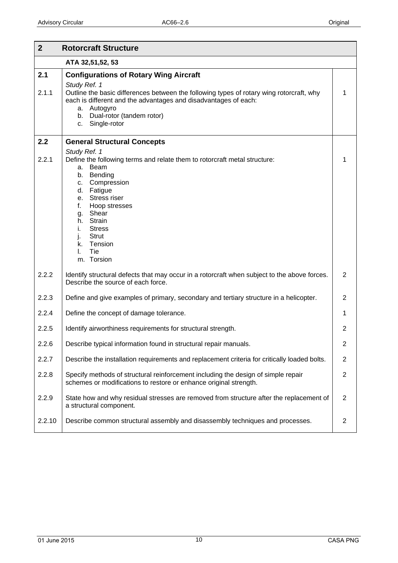<span id="page-9-0"></span>

| $\overline{2}$ | <b>Rotorcraft Structure</b>                                                                                                                                                                                                                                                                                       |                |
|----------------|-------------------------------------------------------------------------------------------------------------------------------------------------------------------------------------------------------------------------------------------------------------------------------------------------------------------|----------------|
|                | ATA 32,51,52, 53                                                                                                                                                                                                                                                                                                  |                |
| 2.1<br>2.1.1   | <b>Configurations of Rotary Wing Aircraft</b><br>Study Ref. 1<br>Outline the basic differences between the following types of rotary wing rotorcraft, why<br>each is different and the advantages and disadvantages of each:<br>a. Autogyro<br>b. Dual-rotor (tandem rotor)<br>Single-rotor<br>C.                 | 1              |
| 2.2            | <b>General Structural Concepts</b>                                                                                                                                                                                                                                                                                |                |
| 2.2.1          | Study Ref. 1<br>Define the following terms and relate them to rotorcraft metal structure:<br>a. Beam<br>b. Bending<br>Compression<br>C.<br>d. Fatigue<br>e. Stress riser<br>f.<br>Hoop stresses<br>g. Shear<br>h. Strain<br><b>Stress</b><br>ı.<br><b>Strut</b><br>Ŀ.<br>Tension<br>k.<br>Tie<br>I.<br>m. Torsion |                |
| 2.2.2          | Identify structural defects that may occur in a rotorcraft when subject to the above forces.<br>Describe the source of each force.                                                                                                                                                                                | 2              |
| 2.2.3          | Define and give examples of primary, secondary and tertiary structure in a helicopter.                                                                                                                                                                                                                            | 2              |
| 2.2.4          | Define the concept of damage tolerance.                                                                                                                                                                                                                                                                           | 1              |
| 2.2.5          | Identify airworthiness requirements for structural strength.                                                                                                                                                                                                                                                      | $\overline{2}$ |
| 2.2.6          | Describe typical information found in structural repair manuals.                                                                                                                                                                                                                                                  | $\overline{2}$ |
| 2.2.7          | Describe the installation requirements and replacement criteria for critically loaded bolts.                                                                                                                                                                                                                      | $\overline{2}$ |
| 2.2.8          | Specify methods of structural reinforcement including the design of simple repair<br>schemes or modifications to restore or enhance original strength.                                                                                                                                                            | $\overline{2}$ |
| 2.2.9          | State how and why residual stresses are removed from structure after the replacement of<br>a structural component.                                                                                                                                                                                                | $\overline{2}$ |
| 2.2.10         | Describe common structural assembly and disassembly techniques and processes.                                                                                                                                                                                                                                     | 2              |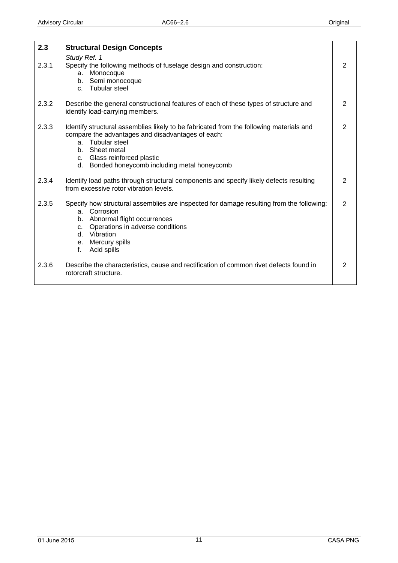<span id="page-10-0"></span>

| 2.3   | <b>Structural Design Concepts</b>                                                                                                                                                                                                                                  |               |
|-------|--------------------------------------------------------------------------------------------------------------------------------------------------------------------------------------------------------------------------------------------------------------------|---------------|
| 2.3.1 | Study Ref. 1<br>Specify the following methods of fuselage design and construction:<br>Monocoque<br>a.<br>b. Semi monocoque<br>c. Tubular steel                                                                                                                     | 2             |
| 2.3.2 | Describe the general constructional features of each of these types of structure and<br>identify load-carrying members.                                                                                                                                            | 2             |
| 2.3.3 | Identify structural assemblies likely to be fabricated from the following materials and<br>compare the advantages and disadvantages of each:<br>a. Tubular steel<br>b. Sheet metal<br>c. Glass reinforced plastic<br>d. Bonded honeycomb including metal honeycomb | 2             |
| 2.3.4 | Identify load paths through structural components and specify likely defects resulting<br>from excessive rotor vibration levels.                                                                                                                                   | 2             |
| 2.3.5 | Specify how structural assemblies are inspected for damage resulting from the following:<br>a. Corrosion<br>b. Abnormal flight occurrences<br>Operations in adverse conditions<br>C <sub>1</sub><br>d. Vibration<br>e. Mercury spills<br>Acid spills<br>f.         | 2             |
| 2.3.6 | Describe the characteristics, cause and rectification of common rivet defects found in<br>rotorcraft structure.                                                                                                                                                    | $\mathcal{P}$ |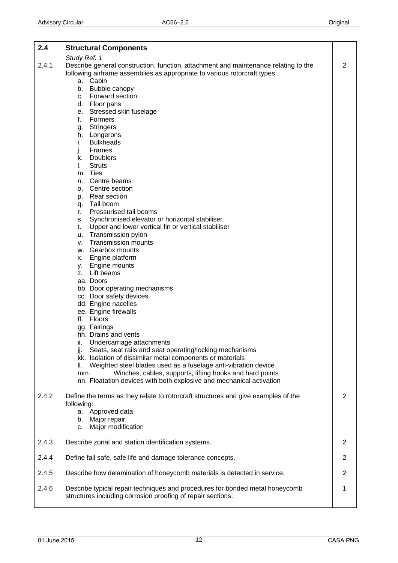<span id="page-11-0"></span>

| 2.4   | <b>Structural Components</b>                                                                                                                |                |
|-------|---------------------------------------------------------------------------------------------------------------------------------------------|----------------|
|       | Study Ref. 1                                                                                                                                |                |
| 2.4.1 | Describe general construction, function, attachment and maintenance relating to the                                                         | 2              |
|       | following airframe assemblies as appropriate to various rotorcraft types:<br>a. Cabin                                                       |                |
|       | b. Bubble canopy                                                                                                                            |                |
|       | c. Forward section                                                                                                                          |                |
|       | d. Floor pans                                                                                                                               |                |
|       | e. Stressed skin fuselage                                                                                                                   |                |
|       | f.<br>Formers                                                                                                                               |                |
|       | Stringers<br>g.                                                                                                                             |                |
|       | h. Longerons<br><b>Bulkheads</b><br>i.                                                                                                      |                |
|       | Frames<br>j.                                                                                                                                |                |
|       | k. Doublers                                                                                                                                 |                |
|       | <b>Struts</b><br>L.                                                                                                                         |                |
|       | m. Ties                                                                                                                                     |                |
|       | n. Centre beams                                                                                                                             |                |
|       | o. Centre section                                                                                                                           |                |
|       | p. Rear section<br>q. Tail boom                                                                                                             |                |
|       | Pressurised tail booms<br>r.                                                                                                                |                |
|       | s. Synchronised elevator or horizontal stabiliser                                                                                           |                |
|       | Upper and lower vertical fin or vertical stabiliser<br>t.                                                                                   |                |
|       | Transmission pylon<br>u.                                                                                                                    |                |
|       | <b>Transmission mounts</b><br>v.                                                                                                            |                |
|       | w. Gearbox mounts                                                                                                                           |                |
|       | x. Engine platform                                                                                                                          |                |
|       | y. Engine mounts<br>z. Lift beams                                                                                                           |                |
|       | aa. Doors                                                                                                                                   |                |
|       | bb. Door operating mechanisms                                                                                                               |                |
|       | cc. Door safety devices                                                                                                                     |                |
|       | dd. Engine nacelles                                                                                                                         |                |
|       | ee. Engine firewalls                                                                                                                        |                |
|       | ff. Floors                                                                                                                                  |                |
|       | gg. Fairings                                                                                                                                |                |
|       | hh. Drains and vents<br>ii.<br>Undercarriage attachments                                                                                    |                |
|       | Seats, seat rails and seat operating/locking mechanisms<br>jj.                                                                              |                |
|       | kk. Isolation of dissimilar metal components or materials                                                                                   |                |
|       | Weighted steel blades used as a fuselage anti-vibration device<br>Ш.                                                                        |                |
|       | Winches, cables, supports, lifting hooks and hard points<br>mm.                                                                             |                |
|       | nn. Floatation devices with both explosive and mechanical activation                                                                        |                |
| 2.4.2 | Define the terms as they relate to rotorcraft structures and give examples of the<br>following:                                             | 2              |
|       | a. Approved data                                                                                                                            |                |
|       | b. Major repair                                                                                                                             |                |
|       | Major modification<br>c.                                                                                                                    |                |
| 2.4.3 | Describe zonal and station identification systems.                                                                                          | 2              |
| 2.4.4 | Define fail safe, safe life and damage tolerance concepts.                                                                                  | 2              |
| 2.4.5 | Describe how delamination of honeycomb materials is detected in service.                                                                    | $\overline{2}$ |
| 2.4.6 | Describe typical repair techniques and procedures for bonded metal honeycomb<br>structures including corrosion proofing of repair sections. | 1              |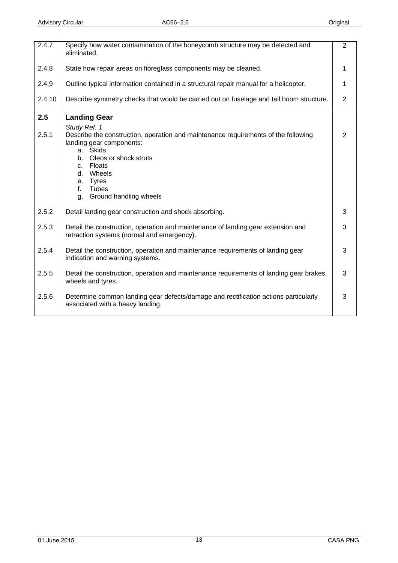<span id="page-12-0"></span>

| 2.4.7  | Specify how water contamination of the honeycomb structure may be detected and<br>eliminated.                                                                                                                                                                                   | $\overline{2}$ |
|--------|---------------------------------------------------------------------------------------------------------------------------------------------------------------------------------------------------------------------------------------------------------------------------------|----------------|
| 2.4.8  | State how repair areas on fibreglass components may be cleaned.                                                                                                                                                                                                                 |                |
| 2.4.9  | Outline typical information contained in a structural repair manual for a helicopter.                                                                                                                                                                                           |                |
| 2.4.10 | Describe symmetry checks that would be carried out on fuselage and tail boom structure.                                                                                                                                                                                         | $\overline{2}$ |
| 2.5    | <b>Landing Gear</b>                                                                                                                                                                                                                                                             |                |
| 2.5.1  | Study Ref. 1<br>Describe the construction, operation and maintenance requirements of the following<br>landing gear components:<br><b>Skids</b><br>a.<br>Oleos or shock struts<br>b.<br>c. Floats<br>d. Wheels<br>e. Tyres<br><b>Tubes</b><br>f.<br>Ground handling wheels<br>g. | 2              |
| 2.5.2  | Detail landing gear construction and shock absorbing.                                                                                                                                                                                                                           | 3              |
| 2.5.3  | Detail the construction, operation and maintenance of landing gear extension and<br>retraction systems (normal and emergency).                                                                                                                                                  | 3              |
| 2.5.4  | Detail the construction, operation and maintenance requirements of landing gear<br>indication and warning systems.                                                                                                                                                              | 3              |
| 2.5.5  | Detail the construction, operation and maintenance requirements of landing gear brakes,<br>wheels and tyres.                                                                                                                                                                    | 3              |
| 2.5.6  | Determine common landing gear defects/damage and rectification actions particularly<br>associated with a heavy landing.                                                                                                                                                         | 3              |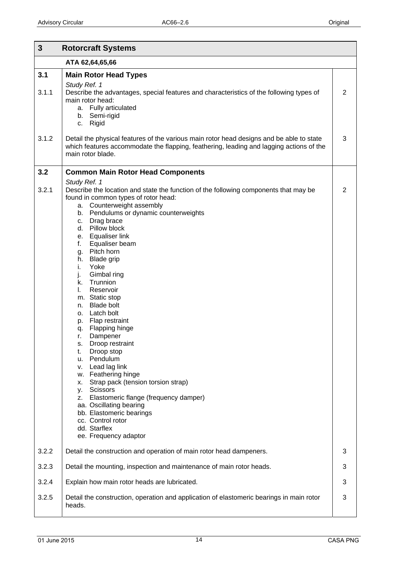<span id="page-13-0"></span>

| $\mathbf{3}$ | <b>Rotorcraft Systems</b>                                                                                                                                                                                                                                                                                                                                                                                                                                                                                                                                                                                                                                                                                                                                                                                                                                                                                                  |   |
|--------------|----------------------------------------------------------------------------------------------------------------------------------------------------------------------------------------------------------------------------------------------------------------------------------------------------------------------------------------------------------------------------------------------------------------------------------------------------------------------------------------------------------------------------------------------------------------------------------------------------------------------------------------------------------------------------------------------------------------------------------------------------------------------------------------------------------------------------------------------------------------------------------------------------------------------------|---|
|              | ATA 62,64,65,66                                                                                                                                                                                                                                                                                                                                                                                                                                                                                                                                                                                                                                                                                                                                                                                                                                                                                                            |   |
| 3.1          | <b>Main Rotor Head Types</b>                                                                                                                                                                                                                                                                                                                                                                                                                                                                                                                                                                                                                                                                                                                                                                                                                                                                                               |   |
| 3.1.1        | Study Ref. 1<br>Describe the advantages, special features and characteristics of the following types of<br>main rotor head:<br>a. Fully articulated<br>b. Semi-rigid<br>c. Rigid                                                                                                                                                                                                                                                                                                                                                                                                                                                                                                                                                                                                                                                                                                                                           | 2 |
| 3.1.2        | Detail the physical features of the various main rotor head designs and be able to state<br>which features accommodate the flapping, feathering, leading and lagging actions of the<br>main rotor blade.                                                                                                                                                                                                                                                                                                                                                                                                                                                                                                                                                                                                                                                                                                                   | 3 |
| 3.2          | <b>Common Main Rotor Head Components</b>                                                                                                                                                                                                                                                                                                                                                                                                                                                                                                                                                                                                                                                                                                                                                                                                                                                                                   |   |
| 3.2.1        | Study Ref. 1<br>Describe the location and state the function of the following components that may be<br>found in common types of rotor head:<br>a. Counterweight assembly<br>Pendulums or dynamic counterweights<br>b.<br>Drag brace<br>c.<br>d. Pillow block<br>e. Equaliser link<br>f.<br>Equaliser beam<br>Pitch horn<br>g.<br><b>Blade grip</b><br>h.<br>i.<br>Yoke<br>j.<br>Gimbal ring<br>Trunnion<br>k.<br>Reservoir<br>I.<br>m. Static stop<br><b>Blade bolt</b><br>n.<br>Latch bolt<br>о.<br>Flap restraint<br>p.<br>Flapping hinge<br>q.<br>Dampener<br>r.<br>Droop restraint<br>s.<br>Droop stop<br>t.<br>Pendulum<br>u.<br>Lead lag link<br>V.<br>w. Feathering hinge<br>Strap pack (tension torsion strap)<br>Х.<br><b>Scissors</b><br>у.<br>Elastomeric flange (frequency damper)<br>Z.<br>aa. Oscillating bearing<br>bb. Elastomeric bearings<br>cc. Control rotor<br>dd. Starflex<br>ee. Frequency adaptor | 2 |
| 3.2.2        | Detail the construction and operation of main rotor head dampeners.                                                                                                                                                                                                                                                                                                                                                                                                                                                                                                                                                                                                                                                                                                                                                                                                                                                        | 3 |
| 3.2.3        | Detail the mounting, inspection and maintenance of main rotor heads.                                                                                                                                                                                                                                                                                                                                                                                                                                                                                                                                                                                                                                                                                                                                                                                                                                                       | 3 |
| 3.2.4        | Explain how main rotor heads are lubricated.                                                                                                                                                                                                                                                                                                                                                                                                                                                                                                                                                                                                                                                                                                                                                                                                                                                                               | 3 |
| 3.2.5        | Detail the construction, operation and application of elastomeric bearings in main rotor<br>heads.                                                                                                                                                                                                                                                                                                                                                                                                                                                                                                                                                                                                                                                                                                                                                                                                                         | 3 |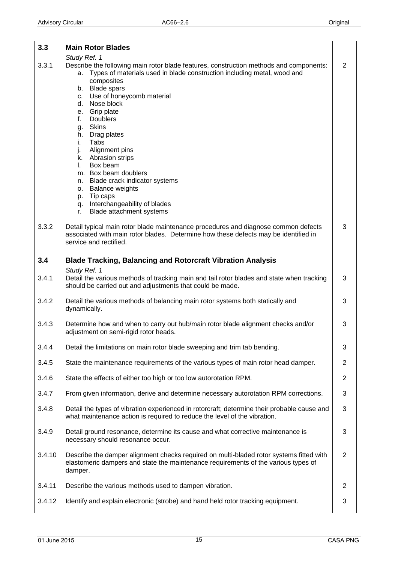<span id="page-14-0"></span>

| 3.3    | <b>Main Rotor Blades</b>                                                                                                                                                                                                                                                                                                                                                                                                                                                                                                                                                                                                       |                |
|--------|--------------------------------------------------------------------------------------------------------------------------------------------------------------------------------------------------------------------------------------------------------------------------------------------------------------------------------------------------------------------------------------------------------------------------------------------------------------------------------------------------------------------------------------------------------------------------------------------------------------------------------|----------------|
| 3.3.1  | Study Ref. 1<br>Describe the following main rotor blade features, construction methods and components:<br>Types of materials used in blade construction including metal, wood and<br>а.<br>composites<br>b. Blade spars<br>c. Use of honeycomb material<br>Nose block<br>d.<br>Grip plate<br>e.<br><b>Doublers</b><br>f.<br>g. Skins<br>h. Drag plates<br>i.<br>Tabs<br>Alignment pins<br>j.<br>k. Abrasion strips<br>Box beam<br>$\mathbf{L}$<br>m. Box beam doublers<br>n. Blade crack indicator systems<br><b>Balance weights</b><br>0.<br>p. Tip caps<br>q. Interchangeability of blades<br>Blade attachment systems<br>r. | $\overline{2}$ |
| 3.3.2  | Detail typical main rotor blade maintenance procedures and diagnose common defects<br>associated with main rotor blades. Determine how these defects may be identified in<br>service and rectified.                                                                                                                                                                                                                                                                                                                                                                                                                            | 3              |
| 3.4    | <b>Blade Tracking, Balancing and Rotorcraft Vibration Analysis</b>                                                                                                                                                                                                                                                                                                                                                                                                                                                                                                                                                             |                |
| 3.4.1  | Study Ref. 1<br>Detail the various methods of tracking main and tail rotor blades and state when tracking<br>should be carried out and adjustments that could be made.                                                                                                                                                                                                                                                                                                                                                                                                                                                         | 3              |
| 3.4.2  | Detail the various methods of balancing main rotor systems both statically and<br>dynamically.                                                                                                                                                                                                                                                                                                                                                                                                                                                                                                                                 | 3              |
| 3.4.3  | Determine how and when to carry out hub/main rotor blade alignment checks and/or<br>adjustment on semi-rigid rotor heads.                                                                                                                                                                                                                                                                                                                                                                                                                                                                                                      | 3              |
| 3.4.4  | Detail the limitations on main rotor blade sweeping and trim tab bending.                                                                                                                                                                                                                                                                                                                                                                                                                                                                                                                                                      | 3              |
| 3.4.5  | State the maintenance requirements of the various types of main rotor head damper.                                                                                                                                                                                                                                                                                                                                                                                                                                                                                                                                             | $\overline{2}$ |
| 3.4.6  | State the effects of either too high or too low autorotation RPM.                                                                                                                                                                                                                                                                                                                                                                                                                                                                                                                                                              | $\overline{2}$ |
| 3.4.7  | From given information, derive and determine necessary autorotation RPM corrections.                                                                                                                                                                                                                                                                                                                                                                                                                                                                                                                                           | 3              |
| 3.4.8  | Detail the types of vibration experienced in rotorcraft; determine their probable cause and<br>what maintenance action is required to reduce the level of the vibration.                                                                                                                                                                                                                                                                                                                                                                                                                                                       | 3              |
| 3.4.9  | Detail ground resonance, determine its cause and what corrective maintenance is<br>necessary should resonance occur.                                                                                                                                                                                                                                                                                                                                                                                                                                                                                                           | 3              |
| 3.4.10 | Describe the damper alignment checks required on multi-bladed rotor systems fitted with<br>elastomeric dampers and state the maintenance requirements of the various types of<br>damper.                                                                                                                                                                                                                                                                                                                                                                                                                                       | 2              |
| 3.4.11 | Describe the various methods used to dampen vibration.                                                                                                                                                                                                                                                                                                                                                                                                                                                                                                                                                                         | $\overline{2}$ |
| 3.4.12 | Identify and explain electronic (strobe) and hand held rotor tracking equipment.                                                                                                                                                                                                                                                                                                                                                                                                                                                                                                                                               | $\sqrt{3}$     |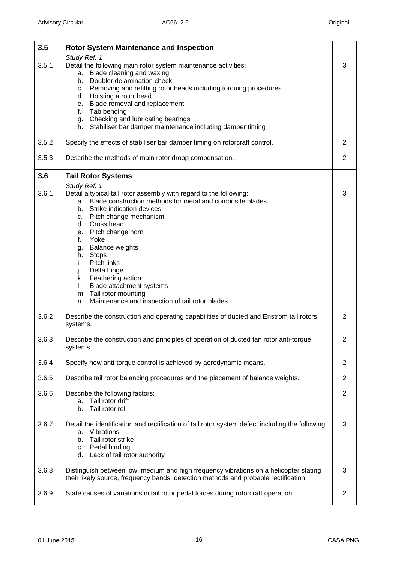<span id="page-15-0"></span>

| 3.5   | <b>Rotor System Maintenance and Inspection</b>                                                                                                                                                                                                                                                                                                                                           |                |
|-------|------------------------------------------------------------------------------------------------------------------------------------------------------------------------------------------------------------------------------------------------------------------------------------------------------------------------------------------------------------------------------------------|----------------|
| 3.5.1 | Study Ref. 1<br>Detail the following main rotor system maintenance activities:<br>Blade cleaning and waxing<br>a.<br>Doubler delamination check<br>b.<br>Removing and refitting rotor heads including torquing procedures.<br>C.<br>d. Hoisting a rotor head<br>e. Blade removal and replacement<br>f.<br>Tab bending                                                                    | 3              |
|       | g. Checking and lubricating bearings<br>h. Stabiliser bar damper maintenance including damper timing                                                                                                                                                                                                                                                                                     |                |
| 3.5.2 | Specify the effects of stabiliser bar damper timing on rotorcraft control.                                                                                                                                                                                                                                                                                                               | 2              |
| 3.5.3 | Describe the methods of main rotor droop compensation.                                                                                                                                                                                                                                                                                                                                   | $\overline{2}$ |
| 3.6   | <b>Tail Rotor Systems</b>                                                                                                                                                                                                                                                                                                                                                                |                |
| 3.6.1 | Study Ref. 1<br>Detail a typical tail rotor assembly with regard to the following:<br>a. Blade construction methods for metal and composite blades.<br>b. Strike indication devices<br>c. Pitch change mechanism<br>d. Cross head<br>e. Pitch change horn<br>f.<br>Yoke<br><b>Balance weights</b><br>g.<br>Stops<br>h.<br>Pitch links<br>i.<br>j.<br>Delta hinge<br>k. Feathering action | 3              |
|       | Blade attachment systems<br>I.<br>m. Tail rotor mounting<br>Maintenance and inspection of tail rotor blades<br>n.                                                                                                                                                                                                                                                                        |                |
| 3.6.2 | Describe the construction and operating capabilities of ducted and Enstrom tail rotors<br>systems.                                                                                                                                                                                                                                                                                       | 2              |
| 3.6.3 | Describe the construction and principles of operation of ducted fan rotor anti-torque<br>systems.                                                                                                                                                                                                                                                                                        | 2              |
| 3.6.4 | Specify how anti-torque control is achieved by aerodynamic means.                                                                                                                                                                                                                                                                                                                        | $\overline{2}$ |
| 3.6.5 | Describe tail rotor balancing procedures and the placement of balance weights.                                                                                                                                                                                                                                                                                                           | $\overline{2}$ |
| 3.6.6 | Describe the following factors:<br>Tail rotor drift<br>a.<br>Tail rotor roll<br>b.                                                                                                                                                                                                                                                                                                       | $\overline{2}$ |
| 3.6.7 | Detail the identification and rectification of tail rotor system defect including the following:<br>Vibrations<br>a.<br>Tail rotor strike<br>b.<br>c. Pedal binding<br>d. Lack of tail rotor authority                                                                                                                                                                                   | 3              |
| 3.6.8 | Distinguish between low, medium and high frequency vibrations on a helicopter stating<br>their likely source, frequency bands, detection methods and probable rectification.                                                                                                                                                                                                             | 3              |
| 3.6.9 | State causes of variations in tail rotor pedal forces during rotorcraft operation.                                                                                                                                                                                                                                                                                                       | $\overline{2}$ |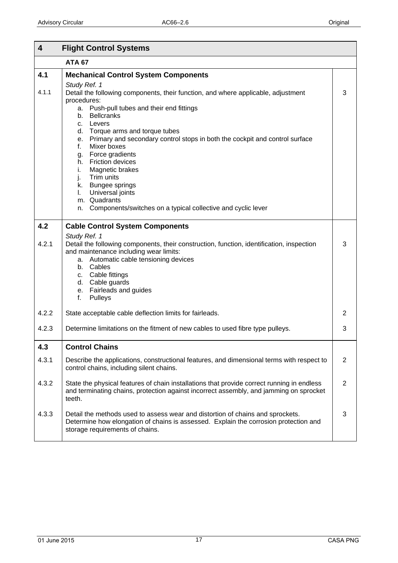<span id="page-16-0"></span>

| $\overline{\mathbf{4}}$ | <b>Flight Control Systems</b>                                                                                                                                                                                                                                                                                                                                                                                                                                                                                                                                                        |   |
|-------------------------|--------------------------------------------------------------------------------------------------------------------------------------------------------------------------------------------------------------------------------------------------------------------------------------------------------------------------------------------------------------------------------------------------------------------------------------------------------------------------------------------------------------------------------------------------------------------------------------|---|
|                         | <b>ATA 67</b>                                                                                                                                                                                                                                                                                                                                                                                                                                                                                                                                                                        |   |
| 4.1                     | <b>Mechanical Control System Components</b>                                                                                                                                                                                                                                                                                                                                                                                                                                                                                                                                          |   |
| 4.1.1                   | Study Ref. 1<br>Detail the following components, their function, and where applicable, adjustment<br>procedures:<br>Push-pull tubes and their end fittings<br>a.<br><b>Bellcranks</b><br>b.<br>c. Levers<br>d. Torque arms and torque tubes<br>e. Primary and secondary control stops in both the cockpit and control surface<br>Mixer boxes<br>f.<br>Force gradients<br>g.<br>h. Friction devices<br>Magnetic brakes<br>i.<br>Trim units<br>j.<br>k. Bungee springs<br>Universal joints<br>I.<br>m. Quadrants<br>Components/switches on a typical collective and cyclic lever<br>n. | 3 |
| 4.2                     | <b>Cable Control System Components</b>                                                                                                                                                                                                                                                                                                                                                                                                                                                                                                                                               |   |
| 4.2.1                   | Study Ref. 1<br>Detail the following components, their construction, function, identification, inspection<br>and maintenance including wear limits:<br>a. Automatic cable tensioning devices<br>b. Cables<br>c. Cable fittings<br>d. Cable guards<br>e. Fairleads and guides<br>Pulleys<br>f.                                                                                                                                                                                                                                                                                        | 3 |
| 4.2.2                   | State acceptable cable deflection limits for fairleads.                                                                                                                                                                                                                                                                                                                                                                                                                                                                                                                              | 2 |
| 4.2.3                   | Determine limitations on the fitment of new cables to used fibre type pulleys.                                                                                                                                                                                                                                                                                                                                                                                                                                                                                                       | 3 |
| 4.3                     | <b>Control Chains</b>                                                                                                                                                                                                                                                                                                                                                                                                                                                                                                                                                                |   |
| 4.3.1                   | Describe the applications, constructional features, and dimensional terms with respect to<br>control chains, including silent chains.                                                                                                                                                                                                                                                                                                                                                                                                                                                | 2 |
| 4.3.2                   | State the physical features of chain installations that provide correct running in endless<br>and terminating chains, protection against incorrect assembly, and jamming on sprocket<br>teeth.                                                                                                                                                                                                                                                                                                                                                                                       | 2 |
| 4.3.3                   | Detail the methods used to assess wear and distortion of chains and sprockets.<br>Determine how elongation of chains is assessed. Explain the corrosion protection and<br>storage requirements of chains.                                                                                                                                                                                                                                                                                                                                                                            | 3 |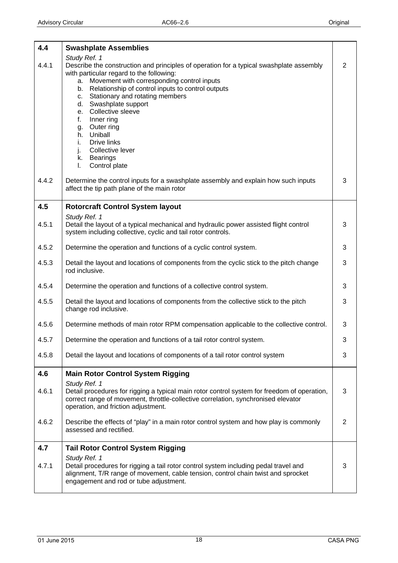<span id="page-17-0"></span>

| 4.4   | <b>Swashplate Assemblies</b>                                                                                                                                                                                                                                                                                                                                                                                                                                                                                     |                |
|-------|------------------------------------------------------------------------------------------------------------------------------------------------------------------------------------------------------------------------------------------------------------------------------------------------------------------------------------------------------------------------------------------------------------------------------------------------------------------------------------------------------------------|----------------|
| 4.4.1 | Study Ref. 1<br>Describe the construction and principles of operation for a typical swashplate assembly<br>with particular regard to the following:<br>Movement with corresponding control inputs<br>a.<br>Relationship of control inputs to control outputs<br>b.<br>Stationary and rotating members<br>C.<br>Swashplate support<br>d.<br>Collective sleeve<br>е.<br>Inner ring<br>f.<br>Outer ring<br>g.<br>Uniball<br>h.<br>Drive links<br>i.<br>Collective lever<br>j.<br>k. Bearings<br>Control plate<br>I. | 2              |
| 4.4.2 | Determine the control inputs for a swashplate assembly and explain how such inputs<br>affect the tip path plane of the main rotor                                                                                                                                                                                                                                                                                                                                                                                | $\mathbf{3}$   |
| 4.5   | <b>Rotorcraft Control System layout</b>                                                                                                                                                                                                                                                                                                                                                                                                                                                                          |                |
| 4.5.1 | Study Ref. 1<br>Detail the layout of a typical mechanical and hydraulic power assisted flight control<br>system including collective, cyclic and tail rotor controls.                                                                                                                                                                                                                                                                                                                                            | 3              |
| 4.5.2 | Determine the operation and functions of a cyclic control system.                                                                                                                                                                                                                                                                                                                                                                                                                                                | 3              |
| 4.5.3 | Detail the layout and locations of components from the cyclic stick to the pitch change<br>rod inclusive.                                                                                                                                                                                                                                                                                                                                                                                                        | 3              |
| 4.5.4 | Determine the operation and functions of a collective control system.                                                                                                                                                                                                                                                                                                                                                                                                                                            | 3              |
| 4.5.5 | Detail the layout and locations of components from the collective stick to the pitch<br>change rod inclusive.                                                                                                                                                                                                                                                                                                                                                                                                    | 3              |
| 4.5.6 | Determine methods of main rotor RPM compensation applicable to the collective control.                                                                                                                                                                                                                                                                                                                                                                                                                           | 3              |
| 4.5.7 | Determine the operation and functions of a tail rotor control system.                                                                                                                                                                                                                                                                                                                                                                                                                                            | 3              |
| 4.5.8 | Detail the layout and locations of components of a tail rotor control system                                                                                                                                                                                                                                                                                                                                                                                                                                     | 3              |
| 4.6   | <b>Main Rotor Control System Rigging</b>                                                                                                                                                                                                                                                                                                                                                                                                                                                                         |                |
| 4.6.1 | Study Ref. 1<br>Detail procedures for rigging a typical main rotor control system for freedom of operation,<br>correct range of movement, throttle-collective correlation, synchronised elevator<br>operation, and friction adjustment.                                                                                                                                                                                                                                                                          | 3              |
| 4.6.2 | Describe the effects of "play" in a main rotor control system and how play is commonly<br>assessed and rectified.                                                                                                                                                                                                                                                                                                                                                                                                | $\overline{2}$ |
| 4.7   | <b>Tail Rotor Control System Rigging</b>                                                                                                                                                                                                                                                                                                                                                                                                                                                                         |                |
| 4.7.1 | Study Ref. 1<br>Detail procedures for rigging a tail rotor control system including pedal travel and<br>alignment, T/R range of movement, cable tension, control chain twist and sprocket<br>engagement and rod or tube adjustment.                                                                                                                                                                                                                                                                              | 3              |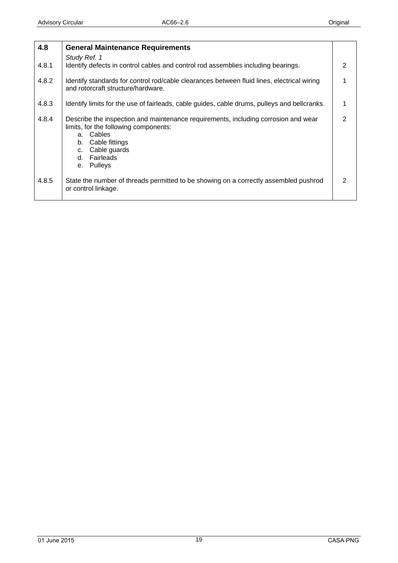<span id="page-18-0"></span>

| 4.8   | <b>General Maintenance Requirements</b>                                                                                                                                                                                    |                |
|-------|----------------------------------------------------------------------------------------------------------------------------------------------------------------------------------------------------------------------------|----------------|
| 4.8.1 | Study Ref. 1<br>Identify defects in control cables and control rod assemblies including bearings.                                                                                                                          | $\mathcal{P}$  |
| 4.8.2 | Identify standards for control rod/cable clearances between fluid lines, electrical wiring<br>and rotorcraft structure/hardware.                                                                                           | 1              |
| 4.8.3 | Identify limits for the use of fairleads, cable guides, cable drums, pulleys and bellcranks.                                                                                                                               | 1              |
| 4.8.4 | Describe the inspection and maintenance requirements, including corrosion and wear<br>limits, for the following components:<br>Cables<br>а.<br>Cable fittings<br>b.<br>Cable guards<br>C.<br>Fairleads<br>d.<br>e. Pulleys | $\overline{2}$ |
| 4.8.5 | State the number of threads permitted to be showing on a correctly assembled pushrod<br>or control linkage.                                                                                                                | 2              |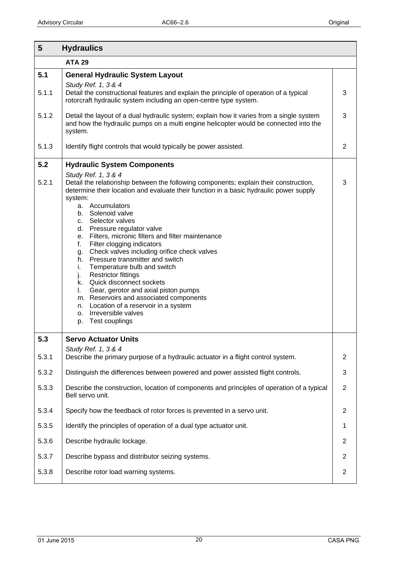<span id="page-19-0"></span>

| 5     | <b>Hydraulics</b>                                                                                                                                                                                                 |                |
|-------|-------------------------------------------------------------------------------------------------------------------------------------------------------------------------------------------------------------------|----------------|
|       | <b>ATA 29</b>                                                                                                                                                                                                     |                |
| 5.1   | <b>General Hydraulic System Layout</b><br>Study Ref. 1, 3 & 4                                                                                                                                                     |                |
| 5.1.1 | Detail the constructional features and explain the principle of operation of a typical<br>rotorcraft hydraulic system including an open-centre type system.                                                       | 3              |
| 5.1.2 | Detail the layout of a dual hydraulic system; explain how it varies from a single system<br>and how the hydraulic pumps on a multi engine helicopter would be connected into the<br>system.                       | 3              |
| 5.1.3 | Identify flight controls that would typically be power assisted.                                                                                                                                                  | 2              |
| 5.2   | <b>Hydraulic System Components</b>                                                                                                                                                                                |                |
| 5.2.1 | Study Ref. 1, 3 & 4<br>Detail the relationship between the following components; explain their construction,<br>determine their location and evaluate their function in a basic hydraulic power supply<br>system: | 3              |
|       | a. Accumulators<br>b. Solenoid valve                                                                                                                                                                              |                |
|       | c. Selector valves<br>d. Pressure regulator valve                                                                                                                                                                 |                |
|       | Filters, micronic filters and filter maintenance<br>е.<br>Filter clogging indicators<br>f.                                                                                                                        |                |
|       | Check valves including orifice check valves<br>g.<br>Pressure transmitter and switch<br>h.                                                                                                                        |                |
|       | i.<br>Temperature bulb and switch                                                                                                                                                                                 |                |
|       | <b>Restrictor fittings</b><br>j.<br>Quick disconnect sockets<br>k.                                                                                                                                                |                |
|       | I.<br>Gear, gerotor and axial piston pumps<br>m. Reservoirs and associated components                                                                                                                             |                |
|       | n. Location of a reservoir in a system<br>o. Irreversible valves                                                                                                                                                  |                |
|       | Test couplings<br>p.                                                                                                                                                                                              |                |
| 5.3   | <b>Servo Actuator Units</b>                                                                                                                                                                                       |                |
| 5.3.1 | Study Ref. 1, 3 & 4<br>Describe the primary purpose of a hydraulic actuator in a flight control system.                                                                                                           | $\overline{2}$ |
| 5.3.2 | Distinguish the differences between powered and power assisted flight controls.                                                                                                                                   | 3              |
| 5.3.3 | Describe the construction, location of components and principles of operation of a typical<br>Bell servo unit.                                                                                                    | $\overline{2}$ |
| 5.3.4 | Specify how the feedback of rotor forces is prevented in a servo unit.                                                                                                                                            | $\overline{2}$ |
| 5.3.5 | Identify the principles of operation of a dual type actuator unit.                                                                                                                                                | 1              |
| 5.3.6 | Describe hydraulic lockage.                                                                                                                                                                                       | $\overline{2}$ |
| 5.3.7 | Describe bypass and distributor seizing systems.                                                                                                                                                                  | 2              |
| 5.3.8 | Describe rotor load warning systems.                                                                                                                                                                              | $\mathbf{2}$   |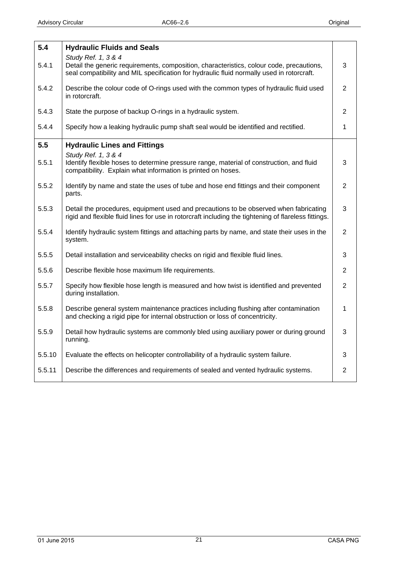<span id="page-20-0"></span>

| 5.4    | <b>Hydraulic Fluids and Seals</b>                                                                                                                                                                            |                |
|--------|--------------------------------------------------------------------------------------------------------------------------------------------------------------------------------------------------------------|----------------|
| 5.4.1  | Study Ref. 1, 3 & 4<br>Detail the generic requirements, composition, characteristics, colour code, precautions,<br>seal compatibility and MIL specification for hydraulic fluid normally used in rotorcraft. | 3              |
| 5.4.2  | Describe the colour code of O-rings used with the common types of hydraulic fluid used<br>in rotorcraft.                                                                                                     | $\overline{2}$ |
| 5.4.3  | State the purpose of backup O-rings in a hydraulic system.                                                                                                                                                   | $\overline{2}$ |
| 5.4.4  | Specify how a leaking hydraulic pump shaft seal would be identified and rectified.                                                                                                                           | 1              |
| 5.5    | <b>Hydraulic Lines and Fittings</b>                                                                                                                                                                          |                |
| 5.5.1  | Study Ref. 1, 3 & 4<br>Identify flexible hoses to determine pressure range, material of construction, and fluid<br>compatibility. Explain what information is printed on hoses.                              | 3              |
| 5.5.2  | Identify by name and state the uses of tube and hose end fittings and their component<br>parts.                                                                                                              | $\overline{2}$ |
| 5.5.3  | Detail the procedures, equipment used and precautions to be observed when fabricating<br>rigid and flexible fluid lines for use in rotorcraft including the tightening of flareless fittings.                | 3              |
| 5.5.4  | Identify hydraulic system fittings and attaching parts by name, and state their uses in the<br>system.                                                                                                       | $\overline{2}$ |
| 5.5.5  | Detail installation and serviceability checks on rigid and flexible fluid lines.                                                                                                                             | 3              |
| 5.5.6  | Describe flexible hose maximum life requirements.                                                                                                                                                            | $\overline{2}$ |
| 5.5.7  | Specify how flexible hose length is measured and how twist is identified and prevented<br>during installation.                                                                                               | $\overline{2}$ |
| 5.5.8  | Describe general system maintenance practices including flushing after contamination<br>and checking a rigid pipe for internal obstruction or loss of concentricity.                                         | 1              |
| 5.5.9  | Detail how hydraulic systems are commonly bled using auxiliary power or during ground<br>running.                                                                                                            | 3              |
| 5.5.10 | Evaluate the effects on helicopter controllability of a hydraulic system failure.                                                                                                                            | 3              |
| 5.5.11 | Describe the differences and requirements of sealed and vented hydraulic systems.                                                                                                                            | $\overline{2}$ |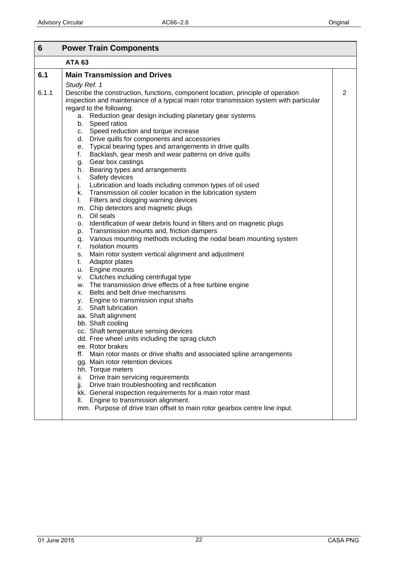<span id="page-21-0"></span>

| 6     | <b>Power Train Components</b>                                                                               |                |
|-------|-------------------------------------------------------------------------------------------------------------|----------------|
|       | <b>ATA 63</b>                                                                                               |                |
| 6.1   | <b>Main Transmission and Drives</b>                                                                         |                |
|       | Study Ref. 1                                                                                                |                |
| 6.1.1 | Describe the construction, functions, component location, principle of operation                            | $\overline{2}$ |
|       | inspection and maintenance of a typical main rotor transmission system with particular                      |                |
|       | regard to the following:                                                                                    |                |
|       | a. Reduction gear design including planetary gear systems                                                   |                |
|       | b. Speed ratios                                                                                             |                |
|       | c. Speed reduction and torque increase                                                                      |                |
|       | d. Drive quills for components and accessories<br>e. Typical bearing types and arrangements in drive quills |                |
|       | Backlash, gear mesh and wear patterns on drive quills<br>f.                                                 |                |
|       | Gear box castings<br>g.                                                                                     |                |
|       | h. Bearing types and arrangements                                                                           |                |
|       | Safety devices<br>i.                                                                                        |                |
|       | j.<br>Lubrication and loads including common types of oil used                                              |                |
|       | Transmission oil cooler location in the lubrication system<br>k.                                            |                |
|       | Filters and clogging warning devices<br>I.                                                                  |                |
|       | m. Chip detectors and magnetic plugs                                                                        |                |
|       | Oil seals<br>n.                                                                                             |                |
|       | Identification of wear debris found in filters and on magnetic plugs<br>0.                                  |                |
|       | Transmission mounts and, friction dampers<br>p.                                                             |                |
|       | q. Various mounting methods including the nodal beam mounting system                                        |                |
|       | <b>Isolation mounts</b><br>r.                                                                               |                |
|       | Main rotor system vertical alignment and adjustment<br>s.<br>Adaptor plates<br>t.                           |                |
|       | u. Engine mounts                                                                                            |                |
|       | v. Clutches including centrifugal type                                                                      |                |
|       | w. The transmission drive effects of a free turbine engine                                                  |                |
|       | x. Belts and belt drive mechanisms                                                                          |                |
|       | y. Engine to transmission input shafts                                                                      |                |
|       | z. Shaft lubrication                                                                                        |                |
|       | aa. Shaft alignment                                                                                         |                |
|       | bb. Shaft cooling                                                                                           |                |
|       | cc. Shaft temperature sensing devices                                                                       |                |
|       | dd. Free wheel units including the sprag clutch                                                             |                |
|       | ee. Rotor brakes                                                                                            |                |
|       | Main rotor masts or drive shafts and associated spline arrangements<br>ff.                                  |                |
|       | gg. Main rotor retention devices                                                                            |                |
|       | hh. Torque meters<br>Drive train servicing requirements<br>ii.                                              |                |
|       | Drive train troubleshooting and rectification                                                               |                |
|       | jj.<br>kk. General inspection requirements for a main rotor mast                                            |                |
|       | Engine to transmission alignment.<br>II.                                                                    |                |
|       | mm. Purpose of drive train offset to main rotor gearbox centre line input.                                  |                |
|       |                                                                                                             |                |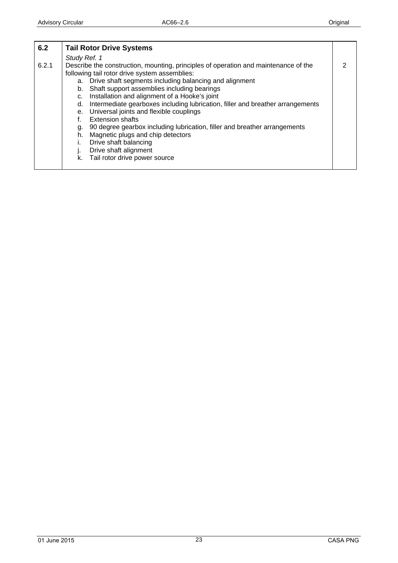<span id="page-22-0"></span>

| 6.2   | <b>Tail Rotor Drive Systems</b>                                                                                                                                                                                                                                                                                                                                                                                                                                                                                                                                                                                                                                                                          |  |
|-------|----------------------------------------------------------------------------------------------------------------------------------------------------------------------------------------------------------------------------------------------------------------------------------------------------------------------------------------------------------------------------------------------------------------------------------------------------------------------------------------------------------------------------------------------------------------------------------------------------------------------------------------------------------------------------------------------------------|--|
|       | Study Ref. 1                                                                                                                                                                                                                                                                                                                                                                                                                                                                                                                                                                                                                                                                                             |  |
| 6.2.1 | Describe the construction, mounting, principles of operation and maintenance of the<br>following tail rotor drive system assemblies:<br>a. Drive shaft segments including balancing and alignment<br>Shaft support assemblies including bearings<br>b.<br>Installation and alignment of a Hooke's joint<br>c.<br>Intermediate gearboxes including lubrication, filler and breather arrangements<br>d.<br>Universal joints and flexible couplings<br>е.<br><b>Extension shafts</b><br>90 degree gearbox including lubrication, filler and breather arrangements<br>g.<br>Magnetic plugs and chip detectors<br>h.<br>Drive shaft balancing<br>Drive shaft alignment<br>Tail rotor drive power source<br>k. |  |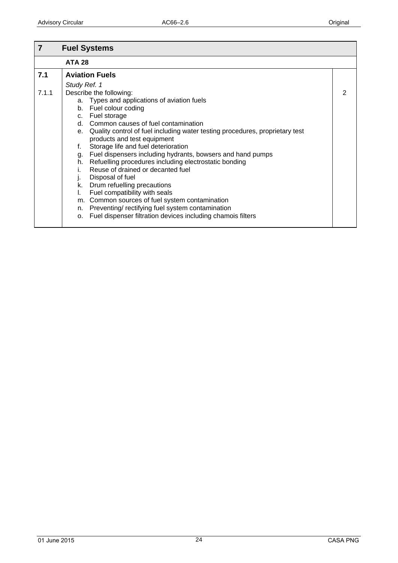<span id="page-23-0"></span>

| 7            | <b>Fuel Systems</b>                                                                                                                                                                                                                                                                                                                                                                                                                                                                                                                                                                                                                                                                                                                                |   |
|--------------|----------------------------------------------------------------------------------------------------------------------------------------------------------------------------------------------------------------------------------------------------------------------------------------------------------------------------------------------------------------------------------------------------------------------------------------------------------------------------------------------------------------------------------------------------------------------------------------------------------------------------------------------------------------------------------------------------------------------------------------------------|---|
|              | <b>ATA 28</b>                                                                                                                                                                                                                                                                                                                                                                                                                                                                                                                                                                                                                                                                                                                                      |   |
| 7.1<br>7.1.1 | <b>Aviation Fuels</b><br>Study Ref. 1<br>Describe the following:                                                                                                                                                                                                                                                                                                                                                                                                                                                                                                                                                                                                                                                                                   | 2 |
|              | a. Types and applications of aviation fuels<br>b. Fuel colour coding<br>c. Fuel storage<br>d. Common causes of fuel contamination<br>e. Quality control of fuel including water testing procedures, proprietary test<br>products and test equipment<br>Storage life and fuel deterioration<br>f.<br>Fuel dispensers including hydrants, bowsers and hand pumps<br>g.<br>h. Refuelling procedures including electrostatic bonding<br>Reuse of drained or decanted fuel<br>Disposal of fuel<br>J.<br>k. Drum refuelling precautions<br>Fuel compatibility with seals<br>m. Common sources of fuel system contamination<br>Preventing/rectifying fuel system contamination<br>n.<br>Fuel dispenser filtration devices including chamois filters<br>о. |   |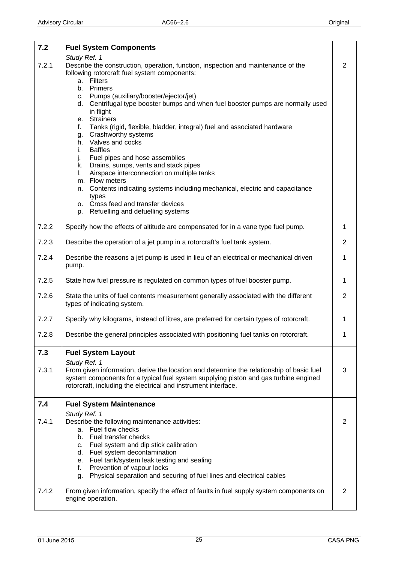<span id="page-24-0"></span>

| 7.2   | <b>Fuel System Components</b>                                                                                                                                                                                                                                                                                                                                                                                                                                                                                                                                                                                                                                                                                                                                                                                                                                 |                |
|-------|---------------------------------------------------------------------------------------------------------------------------------------------------------------------------------------------------------------------------------------------------------------------------------------------------------------------------------------------------------------------------------------------------------------------------------------------------------------------------------------------------------------------------------------------------------------------------------------------------------------------------------------------------------------------------------------------------------------------------------------------------------------------------------------------------------------------------------------------------------------|----------------|
| 7.2.1 | Study Ref. 1<br>Describe the construction, operation, function, inspection and maintenance of the<br>following rotorcraft fuel system components:<br>a. Filters<br>Primers<br>b.<br>Pumps (auxiliary/booster/ejector/jet)<br>C.<br>Centrifugal type booster bumps and when fuel booster pumps are normally used<br>d.<br>in flight<br><b>Strainers</b><br>е.<br>Tanks (rigid, flexible, bladder, integral) fuel and associated hardware<br>f.<br>Crashworthy systems<br>g.<br>h. Valves and cocks<br><b>Baffles</b><br>i.<br>Fuel pipes and hose assemblies<br>j.<br>k. Drains, sumps, vents and stack pipes<br>Airspace interconnection on multiple tanks<br>I.<br>m. Flow meters<br>Contents indicating systems including mechanical, electric and capacitance<br>n.<br>types<br>o. Cross feed and transfer devices<br>p. Refuelling and defuelling systems | $\overline{2}$ |
| 7.2.2 | Specify how the effects of altitude are compensated for in a vane type fuel pump.                                                                                                                                                                                                                                                                                                                                                                                                                                                                                                                                                                                                                                                                                                                                                                             | 1              |
| 7.2.3 | Describe the operation of a jet pump in a rotorcraft's fuel tank system.                                                                                                                                                                                                                                                                                                                                                                                                                                                                                                                                                                                                                                                                                                                                                                                      | $\overline{2}$ |
| 7.2.4 | Describe the reasons a jet pump is used in lieu of an electrical or mechanical driven<br>pump.                                                                                                                                                                                                                                                                                                                                                                                                                                                                                                                                                                                                                                                                                                                                                                | 1              |
| 7.2.5 | State how fuel pressure is regulated on common types of fuel booster pump.                                                                                                                                                                                                                                                                                                                                                                                                                                                                                                                                                                                                                                                                                                                                                                                    | 1              |
| 7.2.6 | State the units of fuel contents measurement generally associated with the different<br>types of indicating system.                                                                                                                                                                                                                                                                                                                                                                                                                                                                                                                                                                                                                                                                                                                                           | 2              |
| 7.2.7 | Specify why kilograms, instead of litres, are preferred for certain types of rotorcraft.                                                                                                                                                                                                                                                                                                                                                                                                                                                                                                                                                                                                                                                                                                                                                                      |                |
| 7.2.8 | Describe the general principles associated with positioning fuel tanks on rotorcraft.                                                                                                                                                                                                                                                                                                                                                                                                                                                                                                                                                                                                                                                                                                                                                                         |                |
| 7.3   | <b>Fuel System Layout</b>                                                                                                                                                                                                                                                                                                                                                                                                                                                                                                                                                                                                                                                                                                                                                                                                                                     |                |
| 7.3.1 | Study Ref. 1<br>From given information, derive the location and determine the relationship of basic fuel<br>system components for a typical fuel system supplying piston and gas turbine engined<br>rotorcraft, including the electrical and instrument interface.                                                                                                                                                                                                                                                                                                                                                                                                                                                                                                                                                                                            | 3              |
| 7.4   | <b>Fuel System Maintenance</b>                                                                                                                                                                                                                                                                                                                                                                                                                                                                                                                                                                                                                                                                                                                                                                                                                                |                |
| 7.4.1 | Study Ref. 1<br>Describe the following maintenance activities:<br>a. Fuel flow checks<br>Fuel transfer checks<br>b.<br>Fuel system and dip stick calibration<br>C.<br>Fuel system decontamination<br>d.<br>Fuel tank/system leak testing and sealing<br>е.<br>Prevention of vapour locks<br>f.<br>Physical separation and securing of fuel lines and electrical cables<br>g.                                                                                                                                                                                                                                                                                                                                                                                                                                                                                  | 2              |
| 7.4.2 | From given information, specify the effect of faults in fuel supply system components on<br>engine operation.                                                                                                                                                                                                                                                                                                                                                                                                                                                                                                                                                                                                                                                                                                                                                 | 2              |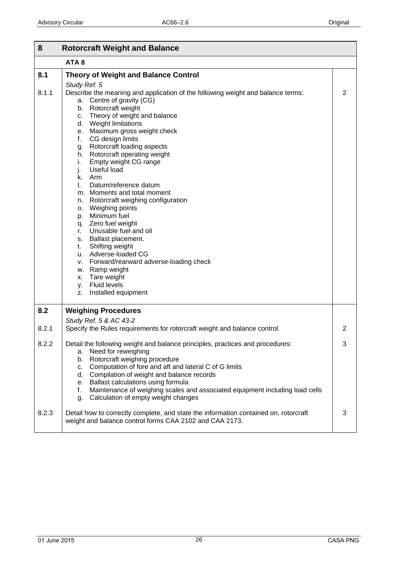<span id="page-25-0"></span>

| 8     | <b>Rotorcraft Weight and Balance</b>                                                                                                                                                                                                                                                                                                                                                                                                                                                                                                                                                                                                                                                                                                                                                                                               |                |
|-------|------------------------------------------------------------------------------------------------------------------------------------------------------------------------------------------------------------------------------------------------------------------------------------------------------------------------------------------------------------------------------------------------------------------------------------------------------------------------------------------------------------------------------------------------------------------------------------------------------------------------------------------------------------------------------------------------------------------------------------------------------------------------------------------------------------------------------------|----------------|
|       | ATA <sub>8</sub>                                                                                                                                                                                                                                                                                                                                                                                                                                                                                                                                                                                                                                                                                                                                                                                                                   |                |
| 8.1   | <b>Theory of Weight and Balance Control</b>                                                                                                                                                                                                                                                                                                                                                                                                                                                                                                                                                                                                                                                                                                                                                                                        |                |
| 8.1.1 | Study Ref. 5<br>Describe the meaning and application of the following weight and balance terms:<br>a. Centre of gravity (CG)<br>b. Rotorcraft weight<br>c. Theory of weight and balance<br>d. Weight limitations<br>e. Maximum gross weight check<br>CG design limits<br>f.<br>Rotorcraft loading aspects<br>g.<br>h. Rotorcraft operating weight<br>Empty weight CG range<br>i.<br>j.<br>Useful load<br>k. Arm<br>Datum/reference datum<br>L.<br>m. Moments and total moment<br>n. Rotorcraft weighing configuration<br>o. Weighing points<br>Minimum fuel<br>p.<br>q. Zero fuel weight<br>Unusable fuel and oil<br>r.<br>s. Ballast placement.<br>Shifting weight<br>t.<br>u. Adverse-loaded CG<br>v. Forward/rearward adverse-loading check<br>w. Ramp weight<br>x. Tare weight<br>y. Fluid levels<br>Installed equipment<br>z. | $\overline{2}$ |
| 8.2   | <b>Weighing Procedures</b><br>Study Ref. 5 & AC 43-2                                                                                                                                                                                                                                                                                                                                                                                                                                                                                                                                                                                                                                                                                                                                                                               |                |
| 8.2.1 | Specify the Rules requirements for rotorcraft weight and balance control.                                                                                                                                                                                                                                                                                                                                                                                                                                                                                                                                                                                                                                                                                                                                                          | 2              |
| 8.2.2 | Detail the following weight and balance principles, practices and procedures:<br>Need for reweighing<br>а.<br>Rotorcraft weighing procedure<br>b.<br>Computation of fore and aft and lateral C of G limits<br>c.<br>Compilation of weight and balance records<br>d.<br>Ballast calculations using formula<br>е.<br>f.<br>Maintenance of weighing scales and associated equipment including load cells<br>Calculation of empty weight changes<br>g.                                                                                                                                                                                                                                                                                                                                                                                 | 3              |
| 8.2.3 | Detail how to correctly complete, and state the information contained on, rotorcraft<br>weight and balance control forms CAA 2102 and CAA 2173.                                                                                                                                                                                                                                                                                                                                                                                                                                                                                                                                                                                                                                                                                    | 3              |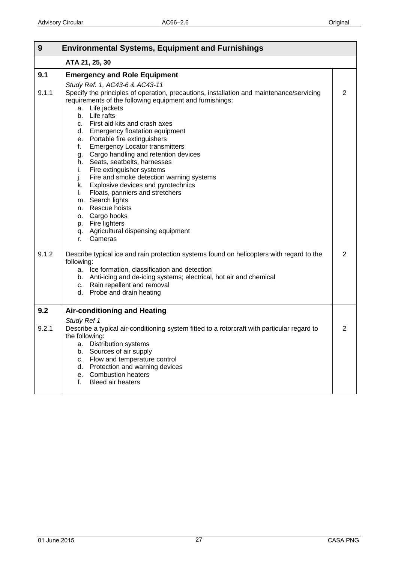<span id="page-26-0"></span>

| 9     | <b>Environmental Systems, Equipment and Furnishings</b>                                                                    |                |
|-------|----------------------------------------------------------------------------------------------------------------------------|----------------|
|       | ATA 21, 25, 30                                                                                                             |                |
| 9.1   | <b>Emergency and Role Equipment</b>                                                                                        |                |
| 9.1.1 | Study Ref. 1, AC43-6 & AC43-11<br>Specify the principles of operation, precautions, installation and maintenance/servicing | $\overline{2}$ |
|       | requirements of the following equipment and furnishings:<br>a. Life jackets                                                |                |
|       | Life rafts<br>b.                                                                                                           |                |
|       | First aid kits and crash axes<br>c.<br><b>Emergency floatation equipment</b><br>d.                                         |                |
|       | Portable fire extinguishers<br>е.                                                                                          |                |
|       | <b>Emergency Locator transmitters</b><br>f.                                                                                |                |
|       | Cargo handling and retention devices<br>g.<br>Seats, seatbelts, harnesses<br>h.                                            |                |
|       | Fire extinguisher systems<br>i.                                                                                            |                |
|       | Fire and smoke detection warning systems<br>j.                                                                             |                |
|       | Explosive devices and pyrotechnics<br>k.                                                                                   |                |
|       | Floats, panniers and stretchers<br>L.<br>m. Search lights                                                                  |                |
|       | Rescue hoists<br>n.                                                                                                        |                |
|       | Cargo hooks<br>о.                                                                                                          |                |
|       | Fire lighters<br>p.<br>Agricultural dispensing equipment                                                                   |                |
|       | q.<br>Cameras<br>r.                                                                                                        |                |
| 9.1.2 | Describe typical ice and rain protection systems found on helicopters with regard to the<br>following:                     | 2              |
|       | Ice formation, classification and detection<br>a.                                                                          |                |
|       | b. Anti-icing and de-icing systems; electrical, hot air and chemical                                                       |                |
|       | c. Rain repellent and removal<br>Probe and drain heating<br>d.                                                             |                |
|       |                                                                                                                            |                |
| 9.2   | <b>Air-conditioning and Heating</b>                                                                                        |                |
|       | Study Ref 1                                                                                                                |                |
| 9.2.1 | Describe a typical air-conditioning system fitted to a rotorcraft with particular regard to<br>the following:              | 2              |
|       | <b>Distribution systems</b><br>а.                                                                                          |                |
|       | Sources of air supply<br>b.                                                                                                |                |
|       | Flow and temperature control<br>c.                                                                                         |                |
|       | Protection and warning devices<br>d.<br><b>Combustion heaters</b>                                                          |                |
|       | е.<br><b>Bleed air heaters</b><br>f.                                                                                       |                |
|       |                                                                                                                            |                |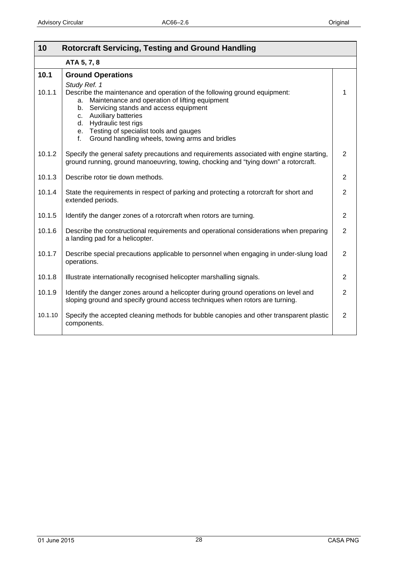<span id="page-27-0"></span>

| 10      | <b>Rotorcraft Servicing, Testing and Ground Handling</b>                                                                                                                                                                                                                                                                                                   |                |
|---------|------------------------------------------------------------------------------------------------------------------------------------------------------------------------------------------------------------------------------------------------------------------------------------------------------------------------------------------------------------|----------------|
|         | ATA 5, 7, 8                                                                                                                                                                                                                                                                                                                                                |                |
| 10.1    | <b>Ground Operations</b>                                                                                                                                                                                                                                                                                                                                   |                |
| 10.1.1  | Study Ref. 1<br>Describe the maintenance and operation of the following ground equipment:<br>Maintenance and operation of lifting equipment<br>a.<br>Servicing stands and access equipment<br>b.<br>c. Auxiliary batteries<br>d. Hydraulic test rigs<br>e. Testing of specialist tools and gauges<br>Ground handling wheels, towing arms and bridles<br>f. | 1              |
| 10.1.2  | Specify the general safety precautions and requirements associated with engine starting,<br>ground running, ground manoeuvring, towing, chocking and "tying down" a rotorcraft.                                                                                                                                                                            | $\overline{2}$ |
| 10.1.3  | Describe rotor tie down methods.                                                                                                                                                                                                                                                                                                                           | $\overline{2}$ |
| 10.1.4  | State the requirements in respect of parking and protecting a rotorcraft for short and<br>extended periods.                                                                                                                                                                                                                                                | $\overline{2}$ |
| 10.1.5  | Identify the danger zones of a rotorcraft when rotors are turning.                                                                                                                                                                                                                                                                                         | $\overline{2}$ |
| 10.1.6  | Describe the constructional requirements and operational considerations when preparing<br>a landing pad for a helicopter.                                                                                                                                                                                                                                  | $\overline{2}$ |
| 10.1.7  | Describe special precautions applicable to personnel when engaging in under-slung load<br>operations.                                                                                                                                                                                                                                                      | $\overline{2}$ |
| 10.1.8  | Illustrate internationally recognised helicopter marshalling signals.                                                                                                                                                                                                                                                                                      | 2              |
| 10.1.9  | Identify the danger zones around a helicopter during ground operations on level and<br>sloping ground and specify ground access techniques when rotors are turning.                                                                                                                                                                                        | $\overline{2}$ |
| 10.1.10 | Specify the accepted cleaning methods for bubble canopies and other transparent plastic<br>components.                                                                                                                                                                                                                                                     | $\overline{2}$ |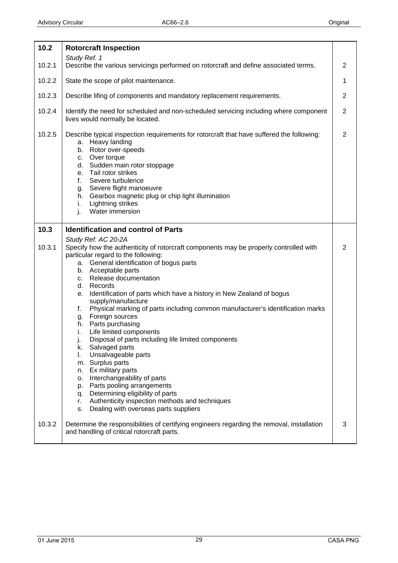<span id="page-28-0"></span>

| 10.2   | <b>Rotorcraft Inspection</b>                                                                                                                                                                                                                                                                                                                                                                         |                |
|--------|------------------------------------------------------------------------------------------------------------------------------------------------------------------------------------------------------------------------------------------------------------------------------------------------------------------------------------------------------------------------------------------------------|----------------|
|        | Study Ref. 1                                                                                                                                                                                                                                                                                                                                                                                         |                |
| 10.2.1 | Describe the various servicings performed on rotorcraft and define associated terms.                                                                                                                                                                                                                                                                                                                 | $\overline{2}$ |
| 10.2.2 | State the scope of pilot maintenance.                                                                                                                                                                                                                                                                                                                                                                | 1              |
| 10.2.3 | Describe lifing of components and mandatory replacement requirements.                                                                                                                                                                                                                                                                                                                                | $\overline{2}$ |
| 10.2.4 | Identify the need for scheduled and non-scheduled servicing including where component<br>lives would normally be located.                                                                                                                                                                                                                                                                            | $\overline{2}$ |
| 10.2.5 | Describe typical inspection requirements for rotorcraft that have suffered the following:<br>a. Heavy landing<br>Rotor over-speeds<br>b.<br>Over torque<br>C.<br>d. Sudden main rotor stoppage<br>Tail rotor strikes<br>e.<br>Severe turbulence<br>f.<br>Severe flight manoeuvre<br>g.<br>Gearbox magnetic plug or chip light illumination<br>h.<br>Lightning strikes<br>i.<br>Water immersion<br>j. | $\overline{2}$ |
| 10.3   | <b>Identification and control of Parts</b>                                                                                                                                                                                                                                                                                                                                                           |                |
|        | Study Ref. AC 20-2A                                                                                                                                                                                                                                                                                                                                                                                  |                |
| 10.3.1 | Specify how the authenticity of rotorcraft components may be properly controlled with                                                                                                                                                                                                                                                                                                                | 2              |
|        | particular regard to the following:<br>a. General identification of bogus parts                                                                                                                                                                                                                                                                                                                      |                |
|        | b. Acceptable parts                                                                                                                                                                                                                                                                                                                                                                                  |                |
|        | Release documentation<br>C.<br>Records<br>d.                                                                                                                                                                                                                                                                                                                                                         |                |
|        | Identification of parts which have a history in New Zealand of bogus<br>е.                                                                                                                                                                                                                                                                                                                           |                |
|        | supply/manufacture                                                                                                                                                                                                                                                                                                                                                                                   |                |
|        | Physical marking of parts including common manufacturer's identification marks<br>f.<br>Foreign sources<br>g.                                                                                                                                                                                                                                                                                        |                |
|        | Parts purchasing<br>h.                                                                                                                                                                                                                                                                                                                                                                               |                |
|        | Life limited components<br>i.<br>Disposal of parts including life limited components                                                                                                                                                                                                                                                                                                                 |                |
|        | J.<br>Salvaged parts<br>k.                                                                                                                                                                                                                                                                                                                                                                           |                |
|        | Unsalvageable parts<br>I.                                                                                                                                                                                                                                                                                                                                                                            |                |
|        | m. Surplus parts<br>Ex military parts<br>n.                                                                                                                                                                                                                                                                                                                                                          |                |
|        | Interchangeability of parts<br>о.                                                                                                                                                                                                                                                                                                                                                                    |                |
|        | Parts pooling arrangements<br>p.                                                                                                                                                                                                                                                                                                                                                                     |                |
|        | Determining eligibility of parts<br>q.<br>Authenticity inspection methods and techniques<br>r.                                                                                                                                                                                                                                                                                                       |                |
|        | Dealing with overseas parts suppliers<br>s.                                                                                                                                                                                                                                                                                                                                                          |                |
| 10.3.2 | Determine the responsibilities of certifying engineers regarding the removal, installation<br>and handling of critical rotorcraft parts.                                                                                                                                                                                                                                                             | 3              |